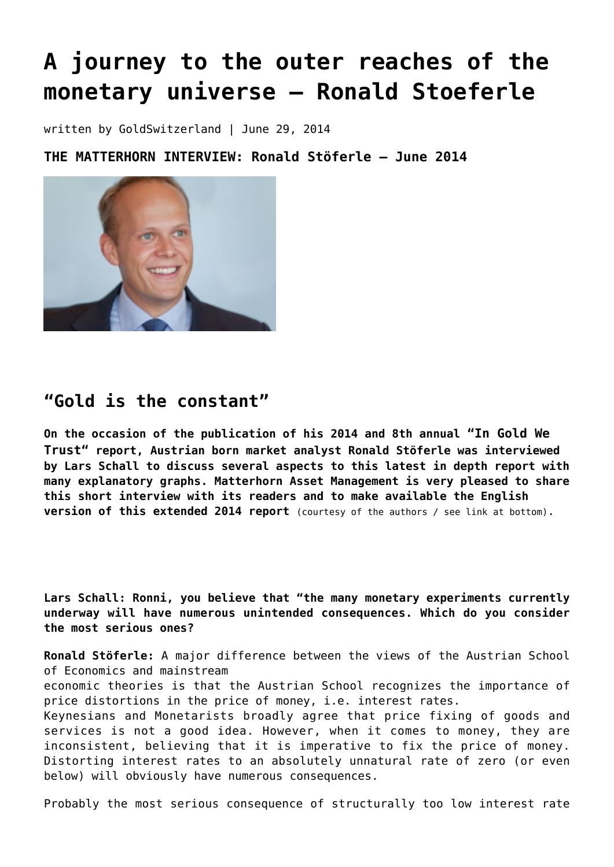# **[A journey to the outer reaches of the](https://goldswitzerland.com/in-gold-we-trust-2014-ronald-stoeferle/) [monetary universe – Ronald Stoeferle](https://goldswitzerland.com/in-gold-we-trust-2014-ronald-stoeferle/)**

written by GoldSwitzerland | June 29, 2014

**THE MATTERHORN INTERVIEW: Ronald Stöferle – June 2014**



# **"Gold is the constant"**

**On the occasion of the publication of his 2014 and 8th annual "In Gold We Trust" report, Austrian born market analyst Ronald Stöferle was interviewed by Lars Schall to discuss several aspects to this latest in depth report with many explanatory graphs. Matterhorn Asset Management is very pleased to share this short interview with its readers and to make available the English version of this extended 2014 report** (courtesy of the authors / see link at bottom).

**Lars Schall: Ronni, you believe that "the many monetary experiments currently underway will have numerous unintended consequences. Which do you consider the most serious ones?**

**Ronald Stöferle:** A major difference between the views of the Austrian School of Economics and mainstream

economic theories is that the Austrian School recognizes the importance of price distortions in the price of money, i.e. interest rates.

Keynesians and Monetarists broadly agree that price fixing of goods and services is not a good idea. However, when it comes to money, they are inconsistent, believing that it is imperative to fix the price of money. Distorting interest rates to an absolutely unnatural rate of zero (or even below) will obviously have numerous consequences.

Probably the most serious consequence of structurally too low interest rate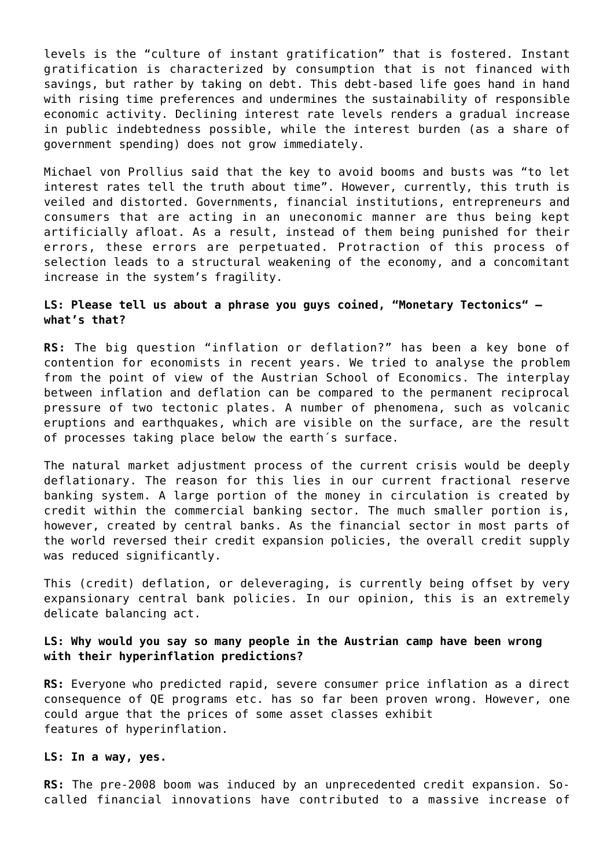levels is the "culture of instant gratification" that is fostered. Instant gratification is characterized by consumption that is not financed with savings, but rather by taking on debt. This debt-based life goes hand in hand with rising time preferences and undermines the sustainability of responsible economic activity. Declining interest rate levels renders a gradual increase in public indebtedness possible, while the interest burden (as a share of government spending) does not grow immediately.

Michael von Prollius said that the key to avoid booms and busts was "to let interest rates tell the truth about time". However, currently, this truth is veiled and distorted. Governments, financial institutions, entrepreneurs and consumers that are acting in an uneconomic manner are thus being kept artificially afloat. As a result, instead of them being punished for their errors, these errors are perpetuated. Protraction of this process of selection leads to a structural weakening of the economy, and a concomitant increase in the system's fragility.

# **LS: Please tell us about a phrase you guys coined, "Monetary Tectonics" – what's that?**

**RS:** The big question "inflation or deflation?" has been a key bone of contention for economists in recent years. We tried to analyse the problem from the point of view of the Austrian School of Economics. The interplay between inflation and deflation can be compared to the permanent reciprocal pressure of two tectonic plates. A number of phenomena, such as volcanic eruptions and earthquakes, which are visible on the surface, are the result of processes taking place below the earth´s surface.

The natural market adjustment process of the current crisis would be deeply deflationary. The reason for this lies in our current fractional reserve banking system. A large portion of the money in circulation is created by credit within the commercial banking sector. The much smaller portion is, however, created by central banks. As the financial sector in most parts of the world reversed their credit expansion policies, the overall credit supply was reduced significantly.

This (credit) deflation, or deleveraging, is currently being offset by very expansionary central bank policies. In our opinion, this is an extremely delicate balancing act.

## **LS: Why would you say so many people in the Austrian camp have been wrong with their hyperinflation predictions?**

**RS:** Everyone who predicted rapid, severe consumer price inflation as a direct consequence of QE programs etc. has so far been proven wrong. However, one could argue that the prices of some asset classes exhibit features of hyperinflation.

#### **LS: In a way, yes.**

**RS:** The pre-2008 boom was induced by an unprecedented credit expansion. Socalled financial innovations have contributed to a massive increase of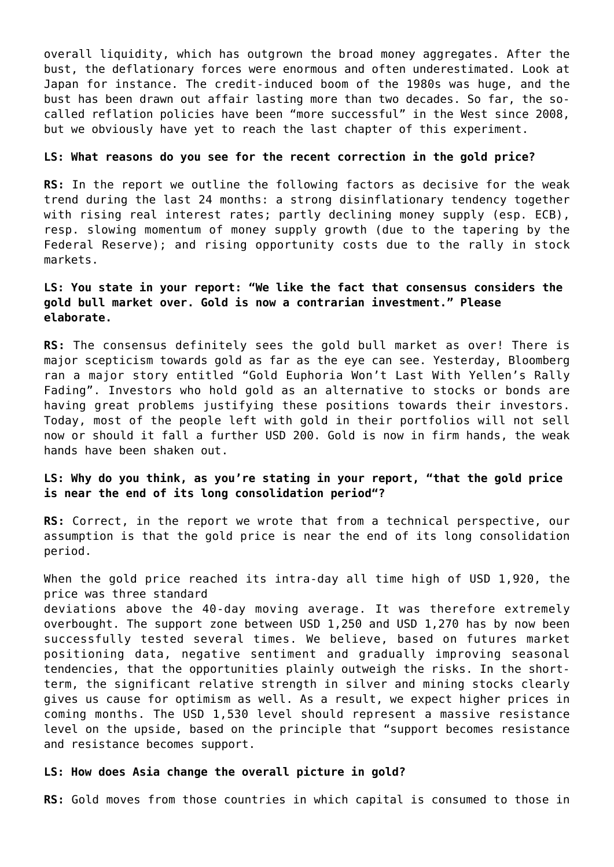overall liquidity, which has outgrown the broad money aggregates. After the bust, the deflationary forces were enormous and often underestimated. Look at Japan for instance. The credit-induced boom of the 1980s was huge, and the bust has been drawn out affair lasting more than two decades. So far, the socalled reflation policies have been "more successful" in the West since 2008, but we obviously have yet to reach the last chapter of this experiment.

#### **LS: What reasons do you see for the recent correction in the gold price?**

**RS:** In the report we outline the following factors as decisive for the weak trend during the last 24 months: a strong disinflationary tendency together with rising real interest rates; partly declining money supply (esp. ECB), resp. slowing momentum of money supply growth (due to the tapering by the Federal Reserve); and rising opportunity costs due to the rally in stock markets.

# **LS: You state in your report: "We like the fact that consensus considers the gold bull market over. Gold is now a contrarian investment." Please elaborate.**

**RS:** The consensus definitely sees the gold bull market as over! There is major scepticism towards gold as far as the eye can see. Yesterday, Bloomberg ran a major story entitled "Gold Euphoria Won't Last With Yellen's Rally Fading". Investors who hold gold as an alternative to stocks or bonds are having great problems justifying these positions towards their investors. Today, most of the people left with gold in their portfolios will not sell now or should it fall a further USD 200. Gold is now in firm hands, the weak hands have been shaken out.

# **LS: Why do you think, as you're stating in your report, "that the gold price is near the end of its long consolidation period"?**

**RS:** Correct, in the report we wrote that from a technical perspective, our assumption is that the gold price is near the end of its long consolidation period.

When the gold price reached its intra-day all time high of USD 1,920, the price was three standard

deviations above the 40-day moving average. It was therefore extremely overbought. The support zone between USD 1,250 and USD 1,270 has by now been successfully tested several times. We believe, based on futures market positioning data, negative sentiment and gradually improving seasonal tendencies, that the opportunities plainly outweigh the risks. In the shortterm, the significant relative strength in silver and mining stocks clearly gives us cause for optimism as well. As a result, we expect higher prices in coming months. The USD 1,530 level should represent a massive resistance level on the upside, based on the principle that "support becomes resistance and resistance becomes support.

#### **LS: How does Asia change the overall picture in gold?**

**RS:** Gold moves from those countries in which capital is consumed to those in